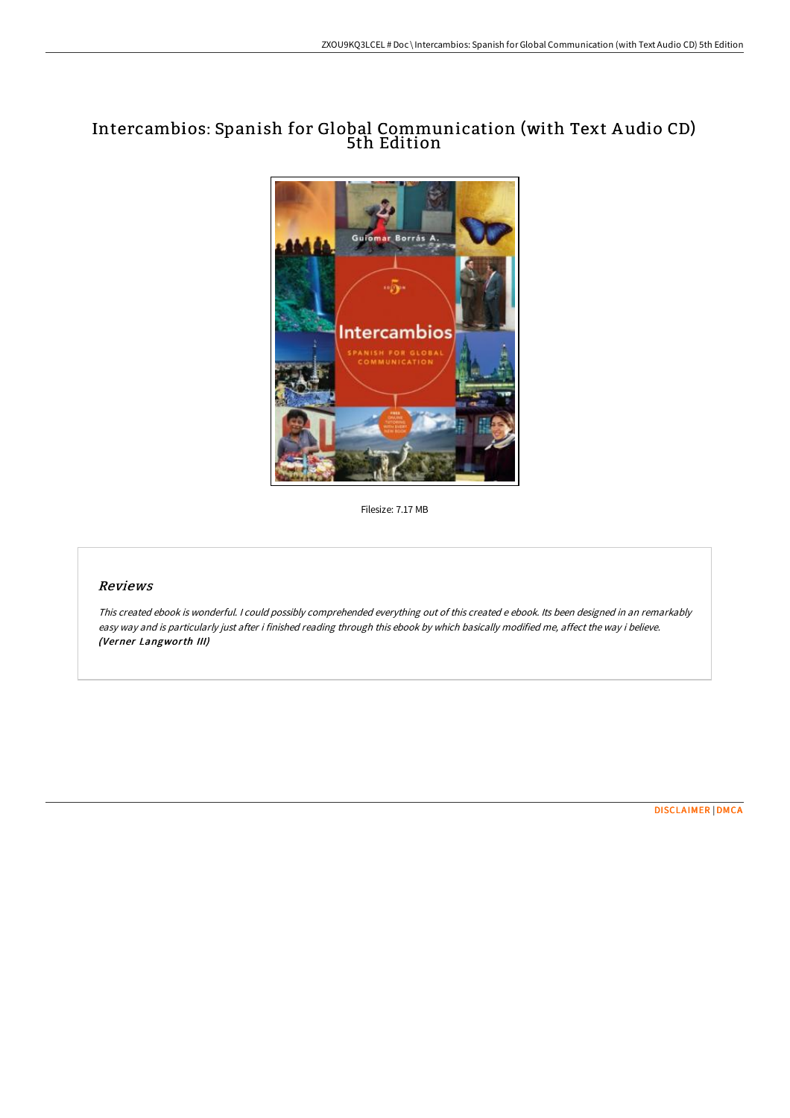# Intercambios: Spanish for Global Communication (with Text A udio CD) 5th Edition



Filesize: 7.17 MB

### Reviews

This created ebook is wonderful. <sup>I</sup> could possibly comprehended everything out of this created <sup>e</sup> ebook. Its been designed in an remarkably easy way and is particularly just after i finished reading through this ebook by which basically modified me, affect the way i believe. (Verner Langworth III)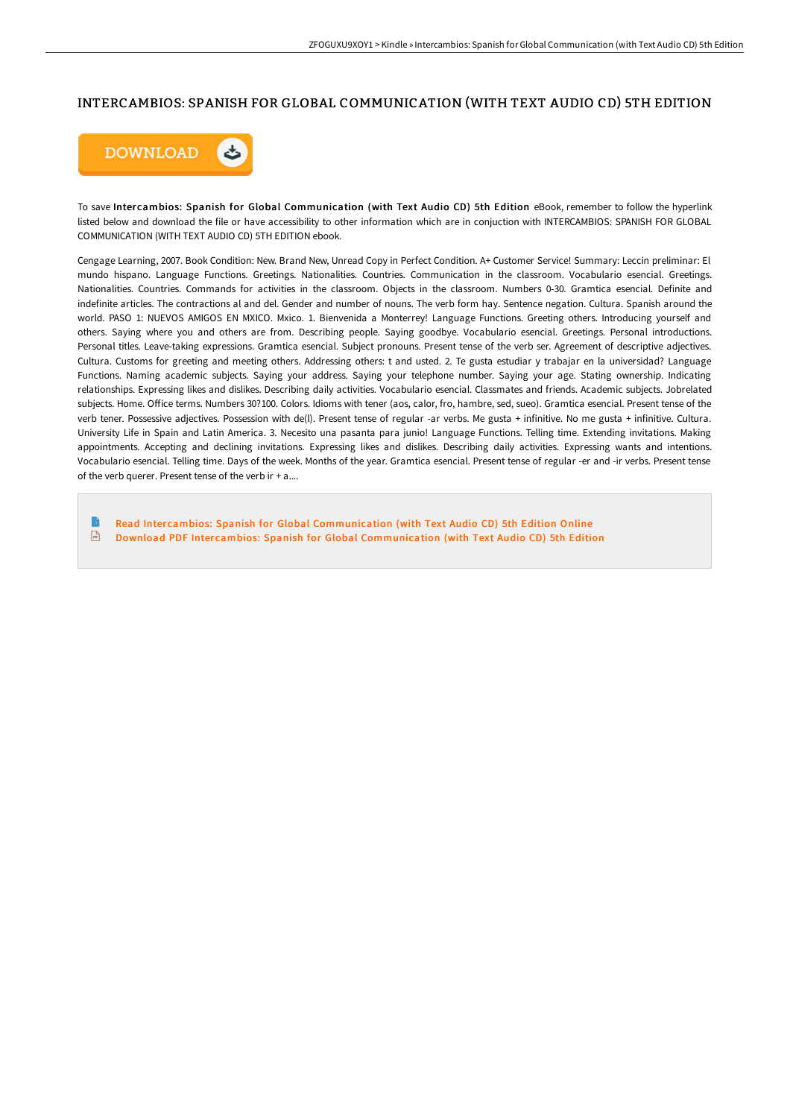## INTERCAMBIOS: SPANISH FOR GLOBAL COMMUNICATION (WITH TEXT AUDIO CD) 5TH EDITION



To save Intercambios: Spanish for Global Communication (with Text Audio CD) 5th Edition eBook, remember to follow the hyperlink listed below and download the file or have accessibility to other information which are in conjuction with INTERCAMBIOS: SPANISH FOR GLOBAL COMMUNICATION (WITH TEXT AUDIO CD) 5TH EDITION ebook.

Cengage Learning, 2007. Book Condition: New. Brand New, Unread Copy in Perfect Condition. A+ Customer Service! Summary: Leccin preliminar: El mundo hispano. Language Functions. Greetings. Nationalities. Countries. Communication in the classroom. Vocabulario esencial. Greetings. Nationalities. Countries. Commands for activities in the classroom. Objects in the classroom. Numbers 0-30. Gramtica esencial. Definite and indefinite articles. The contractions al and del. Gender and number of nouns. The verb form hay. Sentence negation. Cultura. Spanish around the world. PASO 1: NUEVOS AMIGOS EN MXICO. Mxico. 1. Bienvenida a Monterrey! Language Functions. Greeting others. Introducing yourself and others. Saying where you and others are from. Describing people. Saying goodbye. Vocabulario esencial. Greetings. Personal introductions. Personal titles. Leave-taking expressions. Gramtica esencial. Subject pronouns. Present tense of the verb ser. Agreement of descriptive adjectives. Cultura. Customs for greeting and meeting others. Addressing others: t and usted. 2. Te gusta estudiar y trabajar en la universidad? Language Functions. Naming academic subjects. Saying your address. Saying your telephone number. Saying your age. Stating ownership. Indicating relationships. Expressing likes and dislikes. Describing daily activities. Vocabulario esencial. Classmates and friends. Academic subjects. Jobrelated subjects. Home. Office terms. Numbers 30?100. Colors. Idioms with tener (aos, calor, fro, hambre, sed, sueo). Gramtica esencial. Present tense of the verb tener. Possessive adjectives. Possession with de(l). Present tense of regular -ar verbs. Me gusta + infinitive. No me gusta + infinitive. Cultura. University Life in Spain and Latin America. 3. Necesito una pasanta para junio! Language Functions. Telling time. Extending invitations. Making appointments. Accepting and declining invitations. Expressing likes and dislikes. Describing daily activities. Expressing wants and intentions. Vocabulario esencial. Telling time. Days of the week. Months of the year. Gramtica esencial. Present tense of regular -er and -ir verbs. Present tense of the verb querer. Present tense of the verb ir  $+$  a....

Read Intercambios: Spanish for Global [Communication](http://digilib.live/intercambios-spanish-for-global-communication-wi.html) (with Text Audio CD) 5th Edition Online  $\mathbf{H}$ Download PDF Intercambios: Spanish for Global [Communication](http://digilib.live/intercambios-spanish-for-global-communication-wi.html) (with Text Audio CD) 5th Edition